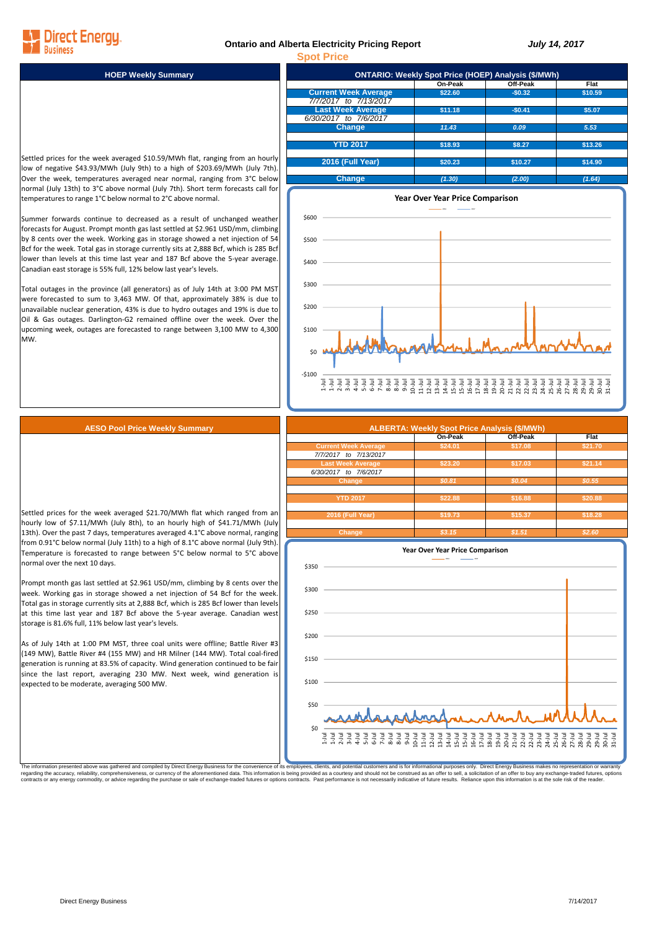## **Ontario and Alberta Electricity Pricing Report** *July 14, 2017*



Settled prices for the week averaged \$10.59/MWh flat, ranging from an hourly low of negative \$43.93/MWh (July 9th) to a high of \$203.69/MWh (July 7th). Over the week, temperatures averaged near normal, ranging from 3°C below normal (July 13th) to 3°C above normal (July 7th). Short term forecasts call for temperatures to range 1°C below normal to 2°C above normal.

Direct Enerau

Summer forwards continue to decreased as a result of unchanged weather forecasts for August. Prompt month gas last settled at \$2.961 USD/mm, climbing by 8 cents over the week. Working gas in storage showed a net injection of 54 Bcf for the week. Total gas in storage currently sits at 2,888 Bcf, which is 285 Bcf lower than levels at this time last year and 187 Bcf above the 5-year average Canadian east storage is 55% full, 12% below last year's levels.

Total outages in the province (all generators) as of July 14th at 3:00 PM MST were forecasted to sum to 3,463 MW. Of that, approximately 38% is due to unavailable nuclear generation, 43% is due to hydro outages and 19% is due to Oil & Gas outages. Darlington-G2 remained offline over the week. Over the upcoming week, outages are forecasted to range between 3,100 MW to 4,300 MW.





## **AESO Pool Price Weekly Summary**

Settled prices for the week averaged \$21.70/MWh flat which ranged from an hourly low of \$7.11/MWh (July 8th), to an hourly high of \$41.71/MWh (July 13th). Over the past 7 days, temperatures averaged 4.1°C above normal, ranging from 0.91°C below normal (July 11th) to a high of 8.1°C above normal (July 9th). Temperature is forecasted to range between 5°C below normal to 5°C above normal over the next 10 days.

Prompt month gas last settled at \$2.961 USD/mm, climbing by 8 cents over the week. Working gas in storage showed a net injection of 54 Bcf for the week. Total gas in storage currently sits at 2,888 Bcf, which is 285 Bcf lower than levels at this time last year and 187 Bcf above the 5-year average. Canadian west storage is 81.6% full, 11% below last year's levels.

As of July 14th at 1:00 PM MST, three coal units were offline; Battle River #3 (149 MW), Battle River #4 (155 MW) and HR Milner (144 MW). Total coal-fired generation is running at 83.5% of capacity. Wind generation continued to be fair since the last report, averaging 230 MW. Next week, wind generation is expected to be moderate, averaging 500 MW.

|                             | On-Peak | Off-Peak | Flat    |
|-----------------------------|---------|----------|---------|
| <b>Current Week Average</b> | \$24.01 | \$17.08  | \$21.70 |
| 7/7/2017 to 7/13/2017       |         |          |         |
| <b>Last Week Average</b>    | \$23.20 | \$17.03  | \$21.14 |
| 6/30/2017 to 7/6/2017       |         |          |         |
| Change                      | \$0.81  | \$0.04   | \$0.55  |
|                             |         |          |         |
| <b>YTD 2017</b>             | \$22.88 | \$16.88  | \$20.88 |
|                             |         |          |         |
| 2016 (Full Year)            | \$19.73 | \$15.37  | \$18.28 |
|                             |         |          |         |
| Change                      | \$3.15  | \$1.51   | \$2.60  |



The information presented above was gathered and compiled by Direct Energy Business for the convenience of its employees, clients, and potential customers and is for informational purposes only. Direct Energy Business make regarding the accuracy, reliability, comprehensiveness, or currency of the aforementioned data. This information is being provided as a courtesy and should not be construed as an offer to sell, a solicitation of an offer t